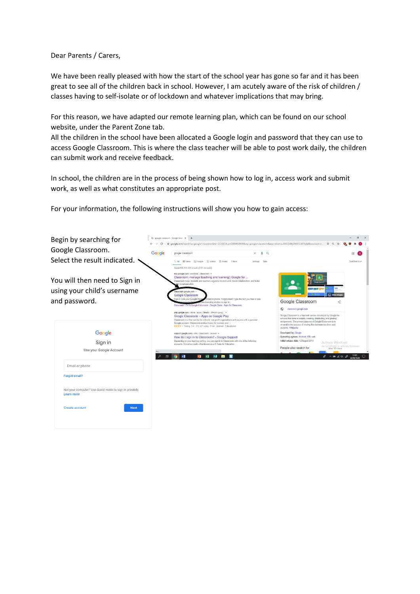Dear Parents / Carers,

We have been really pleased with how the start of the school year has gone so far and it has been great to see all of the children back in school. However, I am acutely aware of the risk of children / classes having to self-isolate or of lockdown and whatever implications that may bring.

For this reason, we have adapted our remote learning plan, which can be found on our school website, under the Parent Zone tab.

All the children in the school have been allocated a Google login and password that they can use to access Google Classroom. This is where the class teacher will be able to post work daily, the children can submit work and receive feedback.

In school, the children are in the process of being shown how to log in, access work and submit work, as well as what constitutes an appropriate post.

For your information, the following instructions will show you how to gain access: